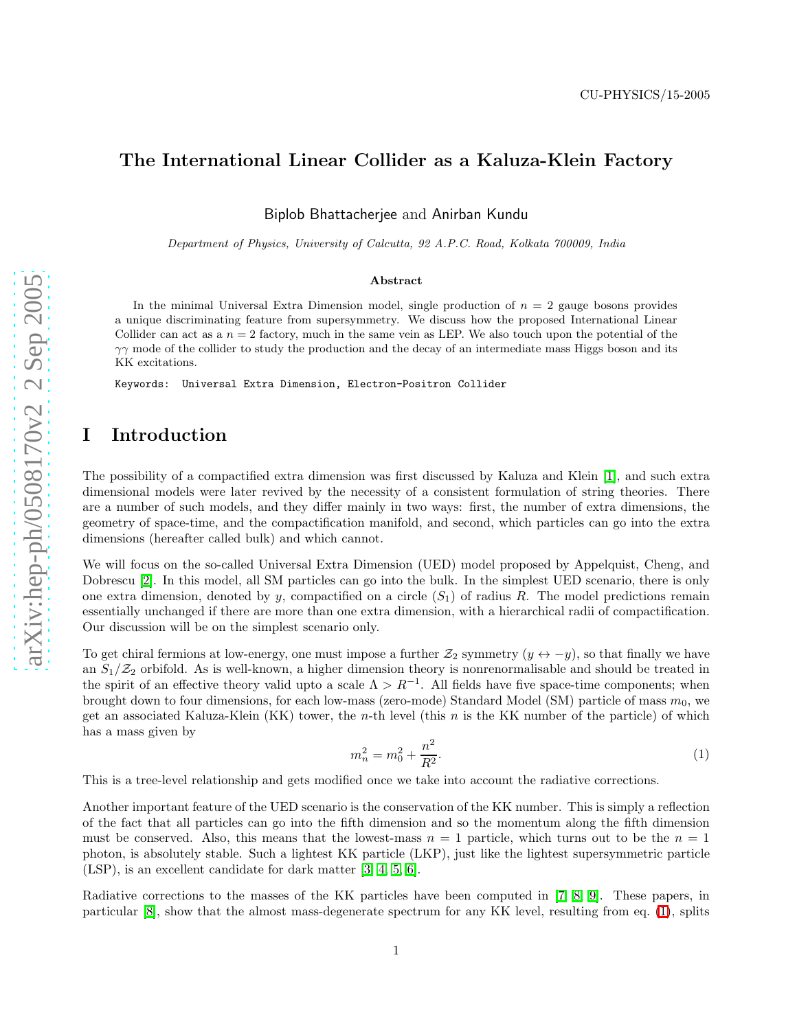# The International Linear Collider as a Kaluza-Klein Factor y

Biplob Bhattacherjee and Anirban Kundu

Department of Physics, University of Calcutta, 92 A.P.C. Road, Kolkata 700009, India

#### Abstract

In the minimal Universal Extra Dimension model, single production of  $n = 2$  gauge bosons provides a unique discriminating feature from supersymmetry. We discuss how the proposed International Linear Collider can act as a  $n = 2$  factory, much in the same vein as LEP. We also touch upon the potential of the  $\gamma\gamma$  mode of the collider to study the production and the decay of an intermediate mass Higgs boson and its KK excitations.

Keywords: Universal Extra Dimension, Electron-Positron Collider

## I Introduction

The possibility of a compactified extra dimension was first discussed by Kaluza and Klein [\[1\]](#page-7-0), and such extra dimensional models were later revived by the necessity of a consistent formulation of string theories. There are a number of such models, and they differ mainly in two ways: first, the number of extra dimensions, the geometry of space-time, and the compactification manifold, and second, which particles can go into the extra dimensions (hereafter called bulk) and which cannot.

We will focus on the so-called Universal Extra Dimension (UED) model proposed by Appelquist, Cheng, and Dobrescu [\[2\]](#page-7-1). In this model, all SM particles can go into the bulk. In the simplest UED scenario, there is only one extra dimension, denoted by y, compactified on a circle  $(S_1)$  of radius R. The model predictions remain essentially unchanged if there are more than one extra dimension, with a hierarchical radii of compactification. Our discussion will be on the simplest scenario only.

To get chiral fermions at low-energy, one must impose a further  $\mathcal{Z}_2$  symmetry  $(y \leftrightarrow -y)$ , so that finally we have an  $S_1/\mathcal{Z}_2$  orbifold. As is well-known, a higher dimension theory is nonrenormalisable and should be treated in the spirit of an effective theory valid upto a scale  $\Lambda > R^{-1}$ . All fields have five space-time components; when brought down to four dimensions, for each low-mass (zero-mode) Standard Model (SM) particle of mass  $m_0$ , we get an associated Kaluza-Klein (KK) tower, the *n*-th level (this *n* is the KK number of the particle) of which has a mass given by

<span id="page-0-0"></span>
$$
m_n^2 = m_0^2 + \frac{n^2}{R^2}.\tag{1}
$$

This is a tree-level relationship and gets modified once we take into account the radiative corrections.

Another important feature of the UED scenario is the conservation of the KK number. This is simply a reflection of the fact that all particles can go into the fifth dimension and so the momentum along the fifth dimension must be conserved. Also, this means that the lowest-mass  $n = 1$  particle, which turns out to be the  $n = 1$ photon, is absolutely stable. Such a lightest KK particle (LKP), just like the lightest supersymmetric particle (LSP), is an excellent candidate for dark matter [\[3,](#page-7-2) [4,](#page-7-3) [5,](#page-7-4) [6\]](#page-7-5).

Radiative corrections to the masses of the KK particles have been computed in [\[7,](#page-7-6) [8,](#page-7-7) [9\]](#page-7-8). These papers, in particular [\[8\]](#page-7-7), show that the almost mass-degenerate spectrum for any KK level, resulting from eq. [\(1\)](#page-0-0), splits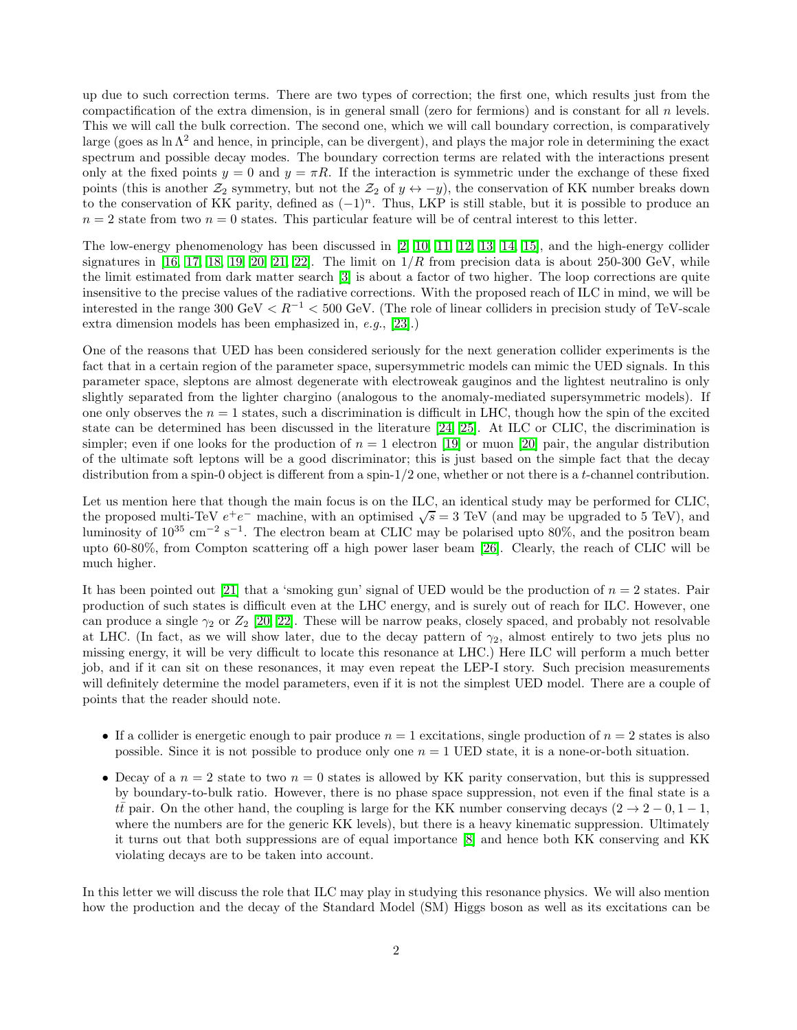up due to such correction terms. There are two types of correction; the first one, which results just from the compactification of the extra dimension, is in general small (zero for fermions) and is constant for all n levels. This we will call the bulk correction. The second one, which we will call boundary correction, is comparatively large (goes as ln  $\Lambda^2$  and hence, in principle, can be divergent), and plays the major role in determining the exact spectrum and possible decay modes. The boundary correction terms are related with the interactions present only at the fixed points  $y = 0$  and  $y = \pi R$ . If the interaction is symmetric under the exchange of these fixed points (this is another  $\mathcal{Z}_2$  symmetry, but not the  $\mathcal{Z}_2$  of  $y \leftrightarrow -y$ ), the conservation of KK number breaks down to the conservation of KK parity, defined as  $(-1)^n$ . Thus, LKP is still stable, but it is possible to produce an  $n = 2$  state from two  $n = 0$  states. This particular feature will be of central interest to this letter.

The low-energy phenomenology has been discussed in [\[2,](#page-7-1) [10,](#page-7-9) [11,](#page-7-10) [12,](#page-7-11) [13,](#page-7-12) [14,](#page-7-13) [15\]](#page-7-14), and the high-energy collider signatures in [\[16,](#page-7-15) [17,](#page-7-16) [18,](#page-7-17) [19,](#page-7-18) [20,](#page-7-19) [21,](#page-7-20) [22\]](#page-7-21). The limit on  $1/R$  from precision data is about 250-300 GeV, while the limit estimated from dark matter search [\[3\]](#page-7-2) is about a factor of two higher. The loop corrections are quite insensitive to the precise values of the radiative corrections. With the proposed reach of ILC in mind, we will be interested in the range 300 GeV  $\lt R^{-1}$   $\lt$  500 GeV. (The role of linear colliders in precision study of TeV-scale extra dimension models has been emphasized in, e.g., [\[23\]](#page-7-22).)

One of the reasons that UED has been considered seriously for the next generation collider experiments is the fact that in a certain region of the parameter space, supersymmetric models can mimic the UED signals. In this parameter space, sleptons are almost degenerate with electroweak gauginos and the lightest neutralino is only slightly separated from the lighter chargino (analogous to the anomaly-mediated supersymmetric models). If one only observes the  $n = 1$  states, such a discrimination is difficult in LHC, though how the spin of the excited state can be determined has been discussed in the literature [\[24,](#page-7-23) [25\]](#page-7-24). At ILC or CLIC, the discrimination is simpler; even if one looks for the production of  $n = 1$  electron [\[19\]](#page-7-18) or muon [\[20\]](#page-7-19) pair, the angular distribution of the ultimate soft leptons will be a good discriminator; this is just based on the simple fact that the decay distribution from a spin-0 object is different from a spin- $1/2$  one, whether or not there is a t-channel contribution.

Let us mention here that though the main focus is on the ILC, an identical study may be performed for CLIC, the proposed multi-TeV  $e^+e^-$  machine, with an optimised  $\sqrt{s} = 3$  TeV (and may be upgraded to 5 TeV), and luminosity of 10<sup>35</sup> cm<sup>-2</sup> s<sup>-1</sup>. The electron beam at CLIC may be polarised upto 80%, and the positron beam upto 60-80%, from Compton scattering off a high power laser beam [\[26\]](#page-7-25). Clearly, the reach of CLIC will be much higher.

It has been pointed out [\[21\]](#page-7-20) that a 'smoking gun' signal of UED would be the production of  $n = 2$  states. Pair production of such states is difficult even at the LHC energy, and is surely out of reach for ILC. However, one can produce a single  $\gamma_2$  or  $Z_2$  [\[20,](#page-7-19) [22\]](#page-7-21). These will be narrow peaks, closely spaced, and probably not resolvable at LHC. (In fact, as we will show later, due to the decay pattern of  $\gamma_2$ , almost entirely to two jets plus no missing energy, it will be very difficult to locate this resonance at LHC.) Here ILC will perform a much better job, and if it can sit on these resonances, it may even repeat the LEP-I story. Such precision measurements will definitely determine the model parameters, even if it is not the simplest UED model. There are a couple of points that the reader should note.

- If a collider is energetic enough to pair produce  $n = 1$  excitations, single production of  $n = 2$  states is also possible. Since it is not possible to produce only one  $n = 1$  UED state, it is a none-or-both situation.
- Decay of a  $n = 2$  state to two  $n = 0$  states is allowed by KK parity conservation, but this is suppressed by boundary-to-bulk ratio. However, there is no phase space suppression, not even if the final state is a  $t\bar{t}$  pair. On the other hand, the coupling is large for the KK number conserving decays  $(2 \rightarrow 2 - 0, 1 - 1,$ where the numbers are for the generic KK levels), but there is a heavy kinematic suppression. Ultimately it turns out that both suppressions are of equal importance [\[8\]](#page-7-7) and hence both KK conserving and KK violating decays are to be taken into account.

In this letter we will discuss the role that ILC may play in studying this resonance physics. We will also mention how the production and the decay of the Standard Model (SM) Higgs boson as well as its excitations can be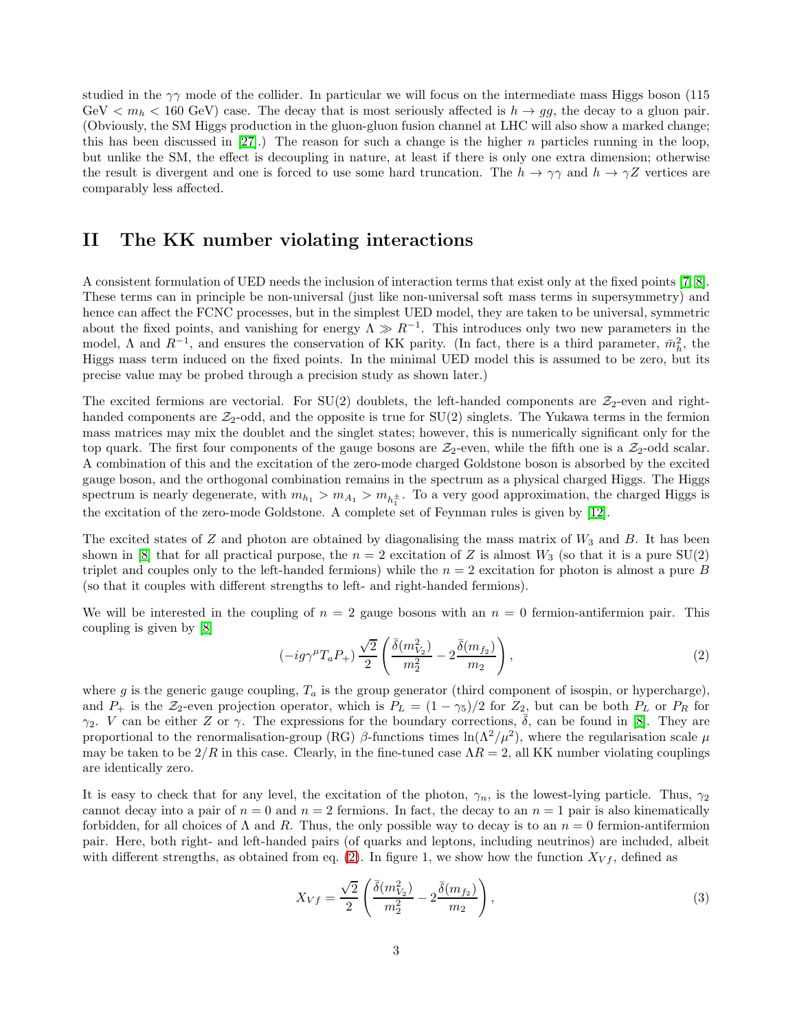studied in the  $\gamma\gamma$  mode of the collider. In particular we will focus on the intermediate mass Higgs boson (115 GeV  $\lt m_h \lt 160$  GeV) case. The decay that is most seriously affected is  $h \to gg$ , the decay to a gluon pair. (Obviously, the SM Higgs production in the gluon-gluon fusion channel at LHC will also show a marked change; this has been discussed in [\[27\]](#page-7-26).) The reason for such a change is the higher n particles running in the loop, but unlike the SM, the effect is decoupling in nature, at least if there is only one extra dimension; otherwise the result is divergent and one is forced to use some hard truncation. The  $h \to \gamma\gamma$  and  $h \to \gamma Z$  vertices are comparably less affected.

#### II The KK number violating interactions

A consistent formulation of UED needs the inclusion of interaction terms that exist only at the fixed points [\[7,](#page-7-6) [8\]](#page-7-7). These terms can in principle be non-universal (just like non-universal soft mass terms in supersymmetry) and hence can affect the FCNC processes, but in the simplest UED model, they are taken to be universal, symmetric about the fixed points, and vanishing for energy  $\Lambda \gg R^{-1}$ . This introduces only two new parameters in the model,  $\Lambda$  and  $R^{-1}$ , and ensures the conservation of KK parity. (In fact, there is a third parameter,  $\bar{m}_h^2$ , the Higgs mass term induced on the fixed points. In the minimal UED model this is assumed to be zero, but its precise value may be probed through a precision study as shown later.)

The excited fermions are vectorial. For  $SU(2)$  doublets, the left-handed components are  $\mathcal{Z}_2$ -even and righthanded components are  $\mathcal{Z}_2$ -odd, and the opposite is true for  $SU(2)$  singlets. The Yukawa terms in the fermion mass matrices may mix the doublet and the singlet states; however, this is numerically significant only for the top quark. The first four components of the gauge bosons are  $\mathcal{Z}_2$ -even, while the fifth one is a  $\mathcal{Z}_2$ -odd scalar. A combination of this and the excitation of the zero-mode charged Goldstone boson is absorbed by the excited gauge boson, and the orthogonal combination remains in the spectrum as a physical charged Higgs. The Higgs spectrum is nearly degenerate, with  $m_{h_1} > m_{A_1} > m_{h_1^{\pm}}$ . To a very good approximation, the charged Higgs is the excitation of the zero-mode Goldstone. A complete set of Feynman rules is given by [\[12\]](#page-7-11).

The excited states of  $Z$  and photon are obtained by diagonalising the mass matrix of  $W_3$  and  $B$ . It has been shown in [\[8\]](#page-7-7) that for all practical purpose, the  $n = 2$  excitation of Z is almost  $W_3$  (so that it is a pure SU(2) triplet and couples only to the left-handed fermions) while the  $n = 2$  excitation for photon is almost a pure B (so that it couples with different strengths to left- and right-handed fermions).

We will be interested in the coupling of  $n = 2$  gauge bosons with an  $n = 0$  fermion-antifermion pair. This coupling is given by [\[8\]](#page-7-7)

<span id="page-2-0"></span>
$$
(-ig\gamma^{\mu}T_{a}P_{+})\frac{\sqrt{2}}{2}\left(\frac{\bar{\delta}(m_{V_2}^2)}{m_2^2} - 2\frac{\bar{\delta}(m_{f_2})}{m_2}\right),\tag{2}
$$

where g is the generic gauge coupling,  $T_a$  is the group generator (third component of isospin, or hypercharge), and  $P_+$  is the  $\mathcal{Z}_2$ -even projection operator, which is  $P_L = (1 - \gamma_5)/2$  for  $\mathcal{Z}_2$ , but can be both  $P_L$  or  $P_R$  for  $\gamma_2$ . V can be either Z or  $\gamma$ . The expressions for the boundary corrections,  $\overline{\delta}$ , can be found in [\[8\]](#page-7-7). They are proportional to the renormalisation-group (RG)  $\beta$ -functions times  $\ln(\Lambda^2/\mu^2)$ , where the regularisation scale  $\mu$ may be taken to be  $2/R$  in this case. Clearly, in the fine-tuned case  $\Lambda R = 2$ , all KK number violating couplings are identically zero.

It is easy to check that for any level, the excitation of the photon,  $\gamma_n$ , is the lowest-lying particle. Thus,  $\gamma_2$ cannot decay into a pair of  $n = 0$  and  $n = 2$  fermions. In fact, the decay to an  $n = 1$  pair is also kinematically forbidden, for all choices of  $\Lambda$  and  $R$ . Thus, the only possible way to decay is to an  $n = 0$  fermion-antifermion pair. Here, both right- and left-handed pairs (of quarks and leptons, including neutrinos) are included, albeit with different strengths, as obtained from eq. [\(2\)](#page-2-0). In figure 1, we show how the function  $X_{Vf}$ , defined as

<span id="page-2-1"></span>
$$
X_{Vf} = \frac{\sqrt{2}}{2} \left( \frac{\bar{\delta}(m_{V_2}^2)}{m_2^2} - 2 \frac{\bar{\delta}(m_{f_2})}{m_2} \right),\tag{3}
$$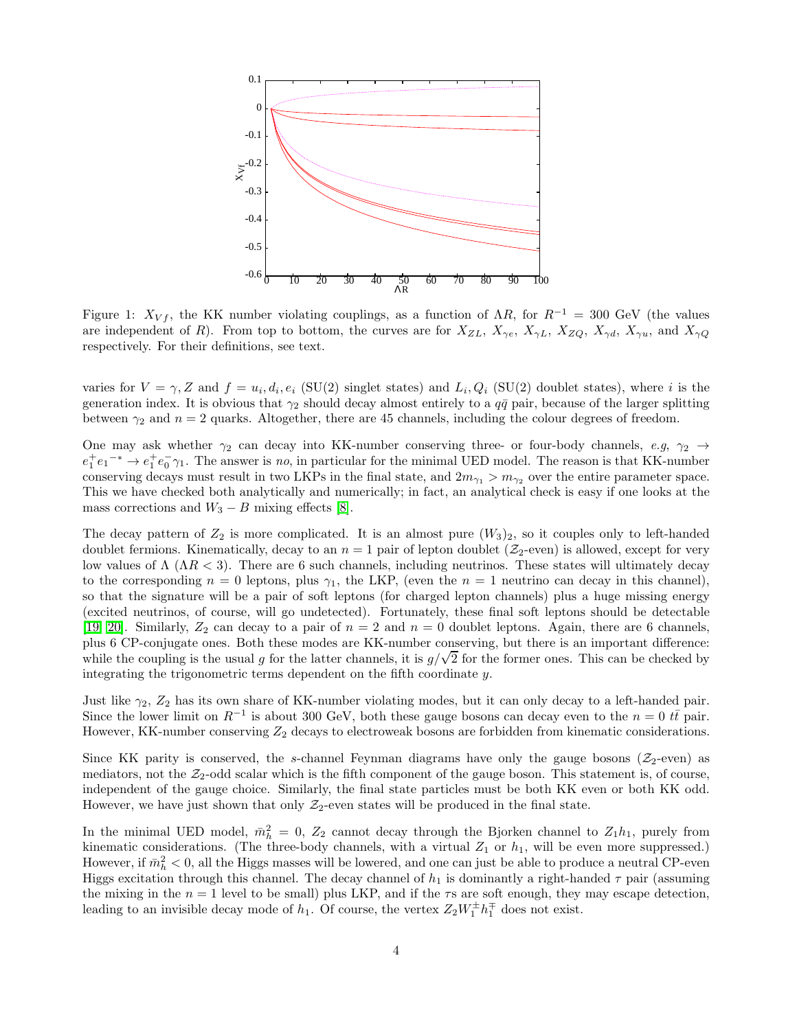

Figure 1:  $X_{Vf}$ , the KK number violating couplings, as a function of  $\Lambda R$ , for  $R^{-1} = 300$  GeV (the values are independent of R). From top to bottom, the curves are for  $X_{ZL}$ ,  $X_{\gamma e}$ ,  $X_{\gamma L}$ ,  $X_{ZQ}$ ,  $X_{\gamma d}$ ,  $X_{\gamma u}$ , and  $X_{\gamma Q}$ respectively. For their definitions, see text.

varies for  $V = \gamma$ , Z and  $f = u_i, d_i, e_i$  (SU(2) singlet states) and  $L_i, Q_i$  (SU(2) doublet states), where i is the generation index. It is obvious that  $\gamma_2$  should decay almost entirely to a  $q\bar{q}$  pair, because of the larger splitting between  $\gamma_2$  and  $n = 2$  quarks. Altogether, there are 45 channels, including the colour degrees of freedom.

One may ask whether  $\gamma_2$  can decay into KK-number conserving three- or four-body channels, e.g,  $\gamma_2 \rightarrow$  $e_1^+e_1^ \rightarrow$   $e_1^+e_0^ \gamma_1$ . The answer is no, in particular for the minimal UED model. The reason is that KK-number conserving decays must result in two LKPs in the final state, and  $2m_{\gamma_1} > m_{\gamma_2}$  over the entire parameter space. This we have checked both analytically and numerically; in fact, an analytical check is easy if one looks at the mass corrections and  $W_3 - B$  mixing effects [\[8\]](#page-7-7).

The decay pattern of  $Z_2$  is more complicated. It is an almost pure  $(W_3)_2$ , so it couples only to left-handed doublet fermions. Kinematically, decay to an  $n = 1$  pair of lepton doublet ( $\mathcal{Z}_2$ -even) is allowed, except for very low values of  $Λ$  ( $ΛR < 3$ ). There are 6 such channels, including neutrinos. These states will ultimately decay to the corresponding  $n = 0$  leptons, plus  $\gamma_1$ , the LKP, (even the  $n = 1$  neutrino can decay in this channel), so that the signature will be a pair of soft leptons (for charged lepton channels) plus a huge missing energy (excited neutrinos, of course, will go undetected). Fortunately, these final soft leptons should be detectable [\[19,](#page-7-18) [20\]](#page-7-19). Similarly,  $Z_2$  can decay to a pair of  $n = 2$  and  $n = 0$  doublet leptons. Again, there are 6 channels, plus 6 CP-conjugate ones. Both these modes are KK-number conserving, but there is an important difference: while the coupling is the usual g for the latter channels, it is  $g/\sqrt{2}$  for the former ones. This can be checked by integrating the trigonometric terms dependent on the fifth coordinate y.

Just like  $\gamma_2$ ,  $Z_2$  has its own share of KK-number violating modes, but it can only decay to a left-handed pair. Since the lower limit on  $R^{-1}$  is about 300 GeV, both these gauge bosons can decay even to the  $n = 0$  tt pair. However, KK-number conserving  $Z_2$  decays to electroweak bosons are forbidden from kinematic considerations.

Since KK parity is conserved, the s-channel Feynman diagrams have only the gauge bosons ( $\mathcal{Z}_2$ -even) as mediators, not the  $\mathcal{Z}_2$ -odd scalar which is the fifth component of the gauge boson. This statement is, of course, independent of the gauge choice. Similarly, the final state particles must be both KK even or both KK odd. However, we have just shown that only  $\mathcal{Z}_2$ -even states will be produced in the final state.

In the minimal UED model,  $\bar{m}_h^2 = 0$ ,  $Z_2$  cannot decay through the Bjorken channel to  $Z_1 h_1$ , purely from kinematic considerations. (The three-body channels, with a virtual  $Z_1$  or  $h_1$ , will be even more suppressed.) However, if  $\bar{m}_h^2 < 0$ , all the Higgs masses will be lowered, and one can just be able to produce a neutral CP-even Higgs excitation through this channel. The decay channel of  $h_1$  is dominantly a right-handed  $\tau$  pair (assuming the mixing in the  $n = 1$  level to be small) plus LKP, and if the  $\tau s$  are soft enough, they may escape detection, leading to an invisible decay mode of  $h_1$ . Of course, the vertex  $Z_2W_1^{\pm}h_1^{\mp}$  does not exist.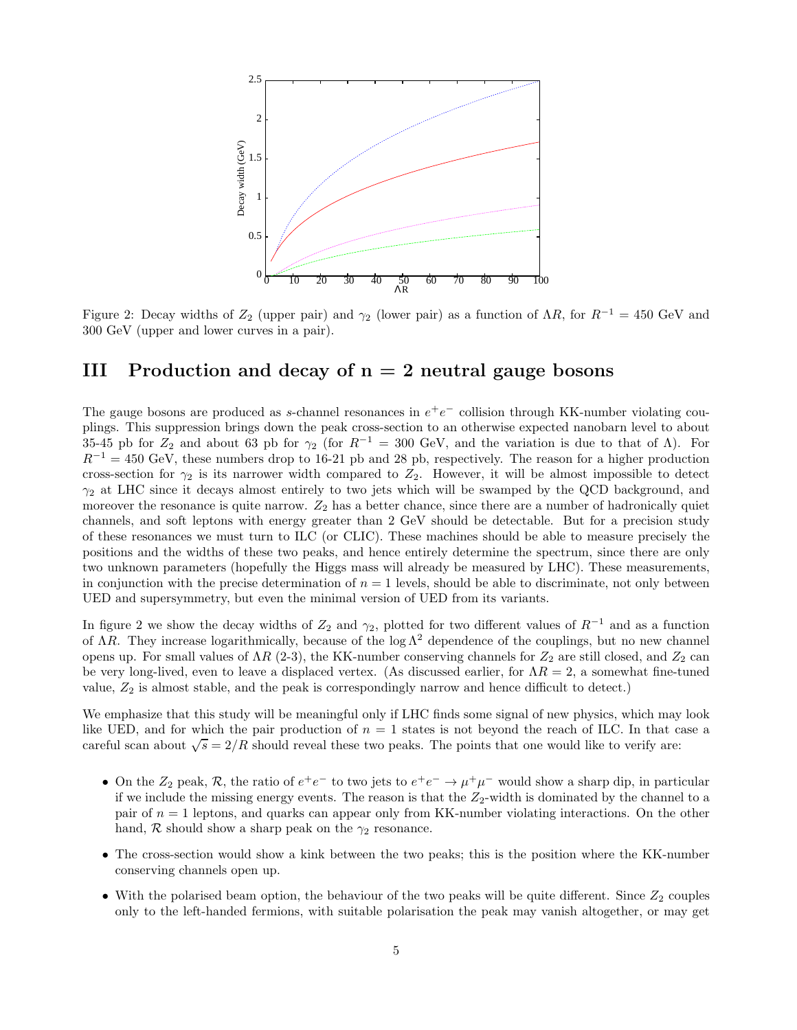

Figure 2: Decay widths of  $Z_2$  (upper pair) and  $\gamma_2$  (lower pair) as a function of  $\Lambda R$ , for  $R^{-1} = 450$  GeV and 300 GeV (upper and lower curves in a pair).

### III Production and decay of  $n = 2$  neutral gauge bosons

The gauge bosons are produced as s-channel resonances in  $e^+e^-$  collision through KK-number violating couplings. This suppression brings down the peak cross-section to an otherwise expected nanobarn level to about 35-45 pb for  $Z_2$  and about 63 pb for  $\gamma_2$  (for  $R^{-1} = 300$  GeV, and the variation is due to that of  $\Lambda$ ). For  $R^{-1} = 450$  GeV, these numbers drop to 16-21 pb and 28 pb, respectively. The reason for a higher production cross-section for  $\gamma_2$  is its narrower width compared to  $Z_2$ . However, it will be almost impossible to detect  $\gamma_2$  at LHC since it decays almost entirely to two jets which will be swamped by the QCD background, and moreover the resonance is quite narrow.  $Z_2$  has a better chance, since there are a number of hadronically quiet channels, and soft leptons with energy greater than 2 GeV should be detectable. But for a precision study of these resonances we must turn to ILC (or CLIC). These machines should be able to measure precisely the positions and the widths of these two peaks, and hence entirely determine the spectrum, since there are only two unknown parameters (hopefully the Higgs mass will already be measured by LHC). These measurements, in conjunction with the precise determination of  $n = 1$  levels, should be able to discriminate, not only between UED and supersymmetry, but even the minimal version of UED from its variants.

In figure 2 we show the decay widths of  $Z_2$  and  $\gamma_2$ , plotted for two different values of  $R^{-1}$  and as a function of  $\Lambda R$ . They increase logarithmically, because of the log  $\Lambda^2$  dependence of the couplings, but no new channel opens up. For small values of  $\Lambda R$  (2-3), the KK-number conserving channels for  $Z_2$  are still closed, and  $Z_2$  can be very long-lived, even to leave a displaced vertex. (As discussed earlier, for  $\Lambda R = 2$ , a somewhat fine-tuned value,  $Z_2$  is almost stable, and the peak is correspondingly narrow and hence difficult to detect.)

We emphasize that this study will be meaningful only if LHC finds some signal of new physics, which may look like UED, and for which the pair production of  $n = 1$  states is not beyond the reach of ILC. In that case a careful scan about  $\sqrt{s} = 2/R$  should reveal these two peaks. The points that one would like to verify are:

- On the  $Z_2$  peak,  $R$ , the ratio of  $e^+e^-$  to two jets to  $e^+e^- \to \mu^+\mu^-$  would show a sharp dip, in particular if we include the missing energy events. The reason is that the  $Z_2$ -width is dominated by the channel to a pair of  $n = 1$  leptons, and quarks can appear only from KK-number violating interactions. On the other hand,  $R$  should show a sharp peak on the  $\gamma_2$  resonance.
- The cross-section would show a kink between the two peaks; this is the position where the KK-number conserving channels open up.
- With the polarised beam option, the behaviour of the two peaks will be quite different. Since  $Z_2$  couples only to the left-handed fermions, with suitable polarisation the peak may vanish altogether, or may get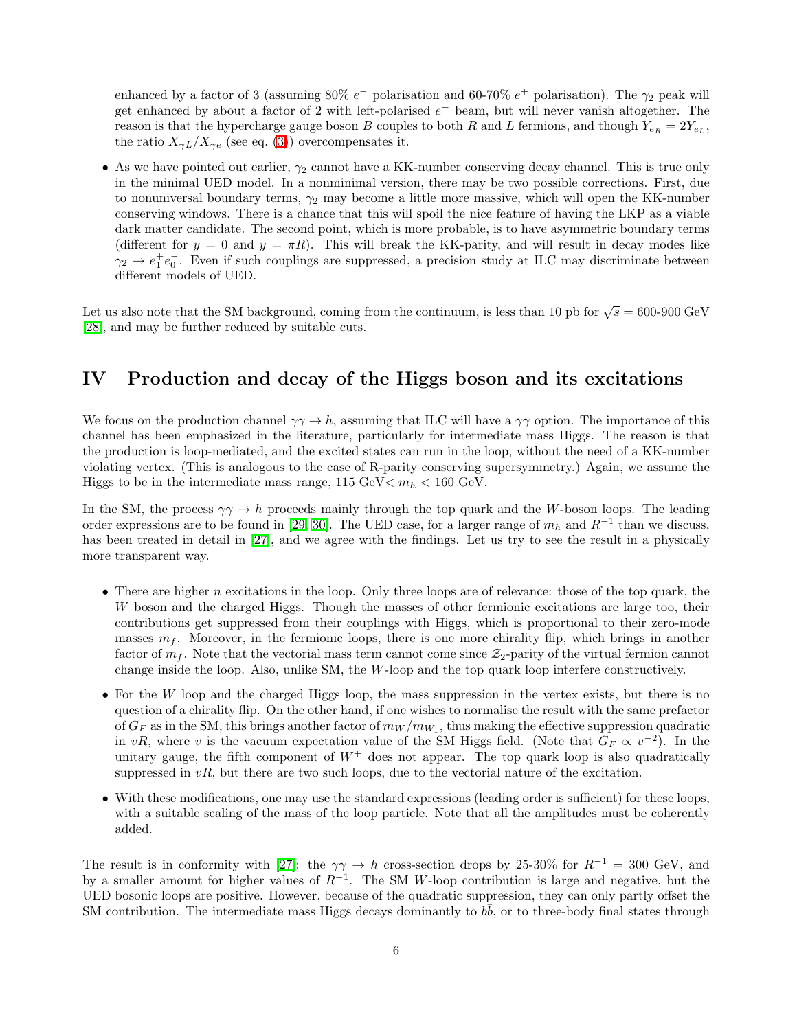enhanced by a factor of 3 (assuming 80%  $e^-$  polarisation and 60-70%  $e^+$  polarisation). The  $\gamma_2$  peak will get enhanced by about a factor of 2 with left-polarised  $e^-$  beam, but will never vanish altogether. The reason is that the hypercharge gauge boson B couples to both R and L fermions, and though  $Y_{e_R} = 2Y_{e_L}$ , the ratio  $X_{\gamma L}/X_{\gamma e}$  (see eq. [\(3\)](#page-2-1)) overcompensates it.

• As we have pointed out earlier,  $\gamma_2$  cannot have a KK-number conserving decay channel. This is true only in the minimal UED model. In a nonminimal version, there may be two possible corrections. First, due to nonuniversal boundary terms,  $\gamma_2$  may become a little more massive, which will open the KK-number conserving windows. There is a chance that this will spoil the nice feature of having the LKP as a viable dark matter candidate. The second point, which is more probable, is to have asymmetric boundary terms (different for  $y = 0$  and  $y = \pi R$ ). This will break the KK-parity, and will result in decay modes like  $\gamma_2 \rightarrow e_1^+e_0^-$ . Even if such couplings are suppressed, a precision study at ILC may discriminate between different models of UED.

Let us also note that the SM background, coming from the continuum, is less than 10 pb for  $\sqrt{s} = 600$ -900 GeV [\[28\]](#page-7-27), and may be further reduced by suitable cuts.

### IV Production and decay of the Higgs boson and its excitations

We focus on the production channel  $\gamma \gamma \to h$ , assuming that ILC will have a  $\gamma \gamma$  option. The importance of this channel has been emphasized in the literature, particularly for intermediate mass Higgs. The reason is that the production is loop-mediated, and the excited states can run in the loop, without the need of a KK-number violating vertex. (This is analogous to the case of R-parity conserving supersymmetry.) Again, we assume the Higgs to be in the intermediate mass range,  $115 \text{ GeV} < m_h < 160 \text{ GeV}$ .

In the SM, the process  $\gamma \gamma \to h$  proceeds mainly through the top quark and the W-boson loops. The leading order expressions are to be found in [\[29,](#page-8-0) [30\]](#page-8-1). The UED case, for a larger range of  $m_h$  and  $R^{-1}$  than we discuss, has been treated in detail in [\[27\]](#page-7-26), and we agree with the findings. Let us try to see the result in a physically more transparent way.

- There are higher  $n$  excitations in the loop. Only three loops are of relevance: those of the top quark, the W boson and the charged Higgs. Though the masses of other fermionic excitations are large too, their contributions get suppressed from their couplings with Higgs, which is proportional to their zero-mode masses  $m_f$ . Moreover, in the fermionic loops, there is one more chirality flip, which brings in another factor of  $m_f$ . Note that the vectorial mass term cannot come since  $\mathcal{Z}_2$ -parity of the virtual fermion cannot change inside the loop. Also, unlike SM, the W-loop and the top quark loop interfere constructively.
- For the W loop and the charged Higgs loop, the mass suppression in the vertex exists, but there is no question of a chirality flip. On the other hand, if one wishes to normalise the result with the same prefactor of  $G_F$  as in the SM, this brings another factor of  $m_W/m_{W_1}$ , thus making the effective suppression quadratic in vR, where v is the vacuum expectation value of the SM Higgs field. (Note that  $G_F \propto v^{-2}$ ). In the unitary gauge, the fifth component of  $W^+$  does not appear. The top quark loop is also quadratically suppressed in  $vR$ , but there are two such loops, due to the vectorial nature of the excitation.
- With these modifications, one may use the standard expressions (leading order is sufficient) for these loops, with a suitable scaling of the mass of the loop particle. Note that all the amplitudes must be coherently added.

The result is in conformity with [\[27\]](#page-7-26): the  $\gamma\gamma \to h$  cross-section drops by 25-30% for  $R^{-1} = 300$  GeV, and by a smaller amount for higher values of  $R^{-1}$ . The SM W-loop contribution is large and negative, but the UED bosonic loops are positive. However, because of the quadratic suppression, they can only partly offset the SM contribution. The intermediate mass Higgs decays dominantly to  $b\bar{b}$ , or to three-body final states through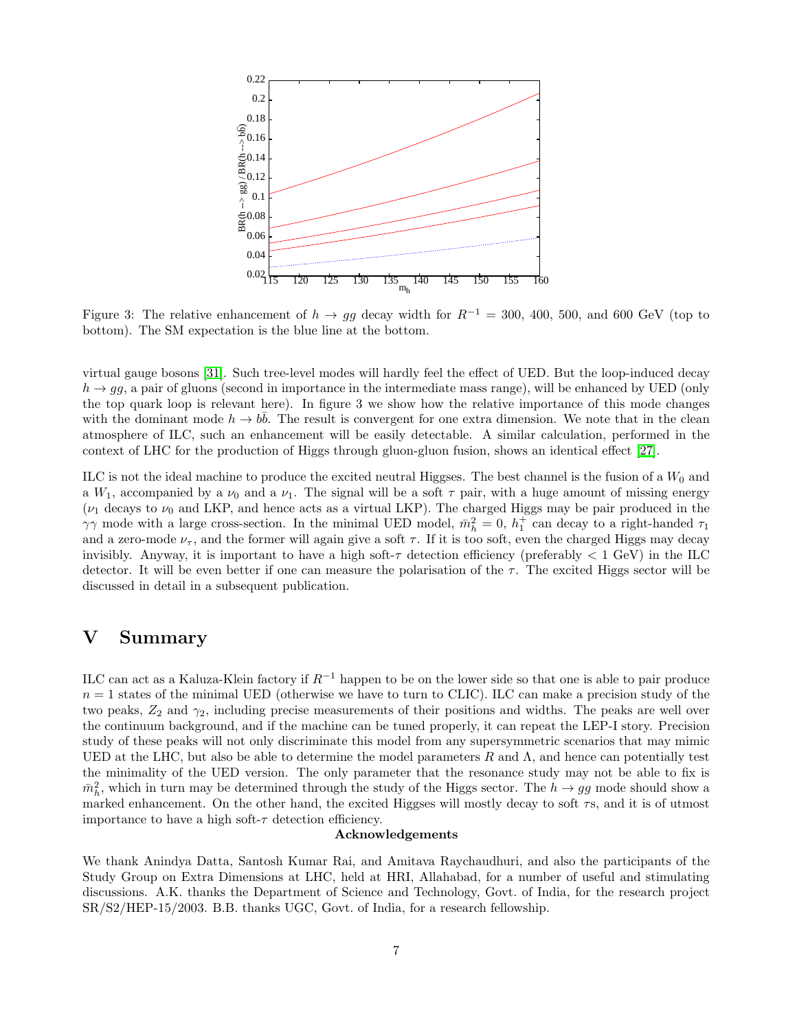

Figure 3: The relative enhancement of  $h \to g\bar{g}$  decay width for  $R^{-1} = 300, 400, 500,$  and 600 GeV (top to bottom). The SM expectation is the blue line at the bottom.

virtual gauge bosons [\[31\]](#page-8-2). Such tree-level modes will hardly feel the effect of UED. But the loop-induced decay  $h \rightarrow g g$ , a pair of gluons (second in importance in the intermediate mass range), will be enhanced by UED (only the top quark loop is relevant here). In figure 3 we show how the relative importance of this mode changes with the dominant mode  $h \to b\bar{b}$ . The result is convergent for one extra dimension. We note that in the clean atmosphere of ILC, such an enhancement will be easily detectable. A similar calculation, performed in the context of LHC for the production of Higgs through gluon-gluon fusion, shows an identical effect [\[27\]](#page-7-26).

ILC is not the ideal machine to produce the excited neutral Higgses. The best channel is the fusion of a  $W_0$  and a  $W_1$ , accompanied by a  $\nu_0$  and a  $\nu_1$ . The signal will be a soft  $\tau$  pair, with a huge amount of missing energy ( $\nu_1$  decays to  $\nu_0$  and LKP, and hence acts as a virtual LKP). The charged Higgs may be pair produced in the  $\gamma\gamma$  mode with a large cross-section. In the minimal UED model,  $\bar{m}_h^2 = 0$ ,  $h_1^+$  can decay to a right-handed  $\tau_1$ and a zero-mode  $\nu_{\tau}$ , and the former will again give a soft  $\tau$ . If it is too soft, even the charged Higgs may decay invisibly. Anyway, it is important to have a high soft- $\tau$  detection efficiency (preferably  $< 1 \text{ GeV}$ ) in the ILC detector. It will be even better if one can measure the polarisation of the  $\tau$ . The excited Higgs sector will be discussed in detail in a subsequent publication.

### V Summary

ILC can act as a Kaluza-Klein factory if  $R^{-1}$  happen to be on the lower side so that one is able to pair produce  $n = 1$  states of the minimal UED (otherwise we have to turn to CLIC). ILC can make a precision study of the two peaks,  $Z_2$  and  $\gamma_2$ , including precise measurements of their positions and widths. The peaks are well over the continuum background, and if the machine can be tuned properly, it can repeat the LEP-I story. Precision study of these peaks will not only discriminate this model from any supersymmetric scenarios that may mimic UED at the LHC, but also be able to determine the model parameters  $R$  and  $\Lambda$ , and hence can potentially test the minimality of the UED version. The only parameter that the resonance study may not be able to fix is  $m_h^2$ , which in turn may be determined through the study of the Higgs sector. The  $h \to gg$  mode should show a marked enhancement. On the other hand, the excited Higgses will mostly decay to soft  $\tau s$ , and it is of utmost importance to have a high soft- $\tau$  detection efficiency.

#### Acknowledgements

We thank Anindya Datta, Santosh Kumar Rai, and Amitava Raychaudhuri, and also the participants of the Study Group on Extra Dimensions at LHC, held at HRI, Allahabad, for a number of useful and stimulating discussions. A.K. thanks the Department of Science and Technology, Govt. of India, for the research project SR/S2/HEP-15/2003. B.B. thanks UGC, Govt. of India, for a research fellowship.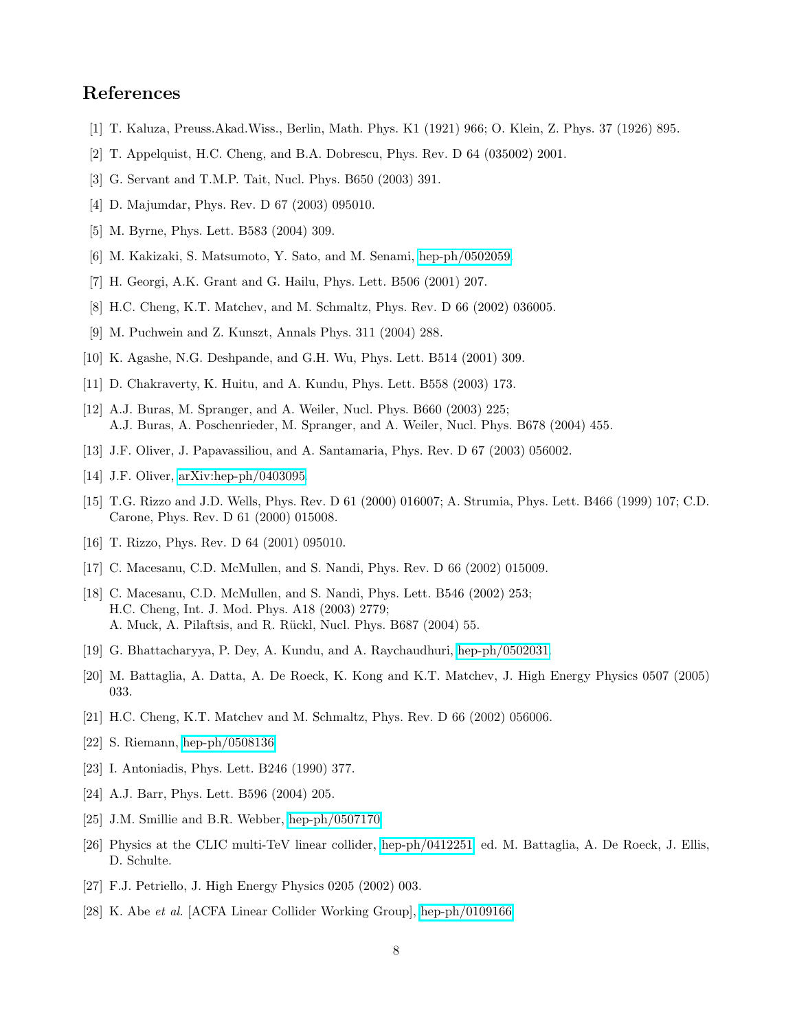## <span id="page-7-0"></span>References

- <span id="page-7-1"></span>[1] T. Kaluza, Preuss.Akad.Wiss., Berlin, Math. Phys. K1 (1921) 966; O. Klein, Z. Phys. 37 (1926) 895.
- <span id="page-7-2"></span>[2] T. Appelquist, H.C. Cheng, and B.A. Dobrescu, Phys. Rev. D 64 (035002) 2001.
- <span id="page-7-3"></span>[3] G. Servant and T.M.P. Tait, Nucl. Phys. B650 (2003) 391.
- <span id="page-7-4"></span>[4] D. Majumdar, Phys. Rev. D 67 (2003) 095010.
- <span id="page-7-5"></span>[5] M. Byrne, Phys. Lett. B583 (2004) 309.
- <span id="page-7-6"></span>[6] M. Kakizaki, S. Matsumoto, Y. Sato, and M. Senami, [hep-ph/0502059.](http://arxiv.org/abs/hep-ph/0502059)
- <span id="page-7-7"></span>[7] H. Georgi, A.K. Grant and G. Hailu, Phys. Lett. B506 (2001) 207.
- <span id="page-7-8"></span>[8] H.C. Cheng, K.T. Matchev, and M. Schmaltz, Phys. Rev. D 66 (2002) 036005.
- [9] M. Puchwein and Z. Kunszt, Annals Phys. 311 (2004) 288.
- <span id="page-7-10"></span><span id="page-7-9"></span>[10] K. Agashe, N.G. Deshpande, and G.H. Wu, Phys. Lett. B514 (2001) 309.
- <span id="page-7-11"></span>[11] D. Chakraverty, K. Huitu, and A. Kundu, Phys. Lett. B558 (2003) 173.
- [12] A.J. Buras, M. Spranger, and A. Weiler, Nucl. Phys. B660 (2003) 225; A.J. Buras, A. Poschenrieder, M. Spranger, and A. Weiler, Nucl. Phys. B678 (2004) 455.
- <span id="page-7-13"></span><span id="page-7-12"></span>[13] J.F. Oliver, J. Papavassiliou, and A. Santamaria, Phys. Rev. D 67 (2003) 056002.
- <span id="page-7-14"></span>[14] J.F. Oliver, [arXiv:hep-ph/0403095.](http://arxiv.org/abs/hep-ph/0403095)
- [15] T.G. Rizzo and J.D. Wells, Phys. Rev. D 61 (2000) 016007; A. Strumia, Phys. Lett. B466 (1999) 107; C.D. Carone, Phys. Rev. D 61 (2000) 015008.
- <span id="page-7-16"></span><span id="page-7-15"></span>[16] T. Rizzo, Phys. Rev. D 64 (2001) 095010.
- <span id="page-7-17"></span>[17] C. Macesanu, C.D. McMullen, and S. Nandi, Phys. Rev. D 66 (2002) 015009.
- [18] C. Macesanu, C.D. McMullen, and S. Nandi, Phys. Lett. B546 (2002) 253; H.C. Cheng, Int. J. Mod. Phys. A18 (2003) 2779; A. Muck, A. Pilaftsis, and R. Rückl, Nucl. Phys. B687 (2004) 55.
- <span id="page-7-19"></span><span id="page-7-18"></span>[19] G. Bhattacharyya, P. Dey, A. Kundu, and A. Raychaudhuri, [hep-ph/0502031.](http://arxiv.org/abs/hep-ph/0502031)
- <span id="page-7-20"></span>[20] M. Battaglia, A. Datta, A. De Roeck, K. Kong and K.T. Matchev, J. High Energy Physics 0507 (2005) 033.
- <span id="page-7-21"></span>[21] H.C. Cheng, K.T. Matchev and M. Schmaltz, Phys. Rev. D 66 (2002) 056006.
- <span id="page-7-22"></span>[22] S. Riemann, [hep-ph/0508136.](http://arxiv.org/abs/hep-ph/0508136)
- <span id="page-7-23"></span>[23] I. Antoniadis, Phys. Lett. B246 (1990) 377.
- <span id="page-7-24"></span>[24] A.J. Barr, Phys. Lett. B596 (2004) 205.
- <span id="page-7-25"></span>[25] J.M. Smillie and B.R. Webber, [hep-ph/0507170.](http://arxiv.org/abs/hep-ph/0507170)
- <span id="page-7-26"></span>[26] Physics at the CLIC multi-TeV linear collider, [hep-ph/0412251,](http://arxiv.org/abs/hep-ph/0412251) ed. M. Battaglia, A. De Roeck, J. Ellis, D. Schulte.
- <span id="page-7-27"></span>[27] F.J. Petriello, J. High Energy Physics 0205 (2002) 003.
- [28] K. Abe et al. [ACFA Linear Collider Working Group], [hep-ph/0109166.](http://arxiv.org/abs/hep-ph/0109166)